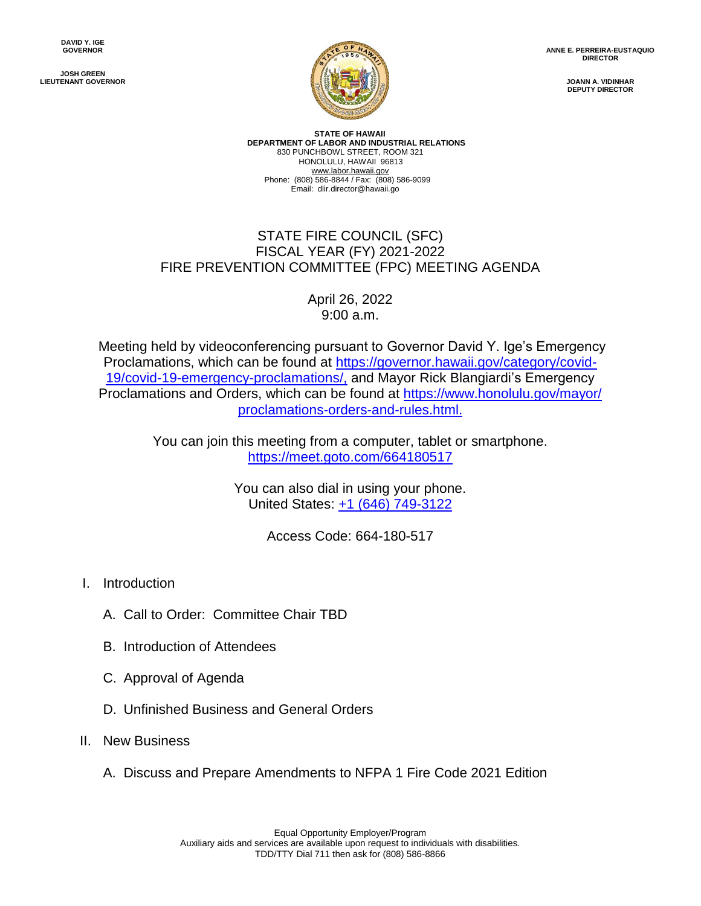**JOSH GREEN LIEUTENANT GOVERNOR**



**ANNE E. PERREIRA-EUSTAQUIO DIRECTOR**

> **JOANN A. VIDINHAR DEPUTY DIRECTOR**

**STATE OF HAWAII DEPARTMENT OF LABOR AND INDUSTRIAL RELATIONS** 830 PUNCHBOWL STREET, ROOM 321 HONOLULU, HAWAII 96813 www.labor.hawaii.gov Phone: (808) 586-8844 / Fax: (808) 586-9099 Email: dlir.director@hawaii.go

## STATE FIRE COUNCIL (SFC) FISCAL YEAR (FY) 2021-2022 FIRE PREVENTION COMMITTEE (FPC) MEETING AGENDA

April 26, 2022 9:00 a.m.

Meeting held by videoconferencing pursuant to Governor David Y. Ige's Emergency Proclamations, which can be found at [https://governor.hawaii.gov/category/covid-](https://governor.hawaii.gov/category/covid-19/covid-19-emergency-proclamations/,)[19/covid-19-emergency-proclamations/,](https://governor.hawaii.gov/category/covid-19/covid-19-emergency-proclamations/,) and Mayor Rick Blangiardi's Emergency Proclamations and Orders, which can be found at [https://www.honolulu.gov/mayor/](https://www.honolulu.gov/mayor/%20proclamations-orders-and-rules.html.)  [proclamations-orders-and-rules.html.](https://www.honolulu.gov/mayor/%20proclamations-orders-and-rules.html.)

> You can join this meeting from a computer, tablet or smartphone. <https://meet.goto.com/664180517>

> > You can also dial in using your phone. United States: [+1 \(646\) 749-3122](tel:+16467493122,,664180517)

> > > Access Code: 664-180-517

- I. Introduction
	- A. Call to Order: Committee Chair TBD
	- B. Introduction of Attendees
	- C. Approval of Agenda
	- D. Unfinished Business and General Orders
- II. New Business
	- A. Discuss and Prepare Amendments to NFPA 1 Fire Code 2021 Edition